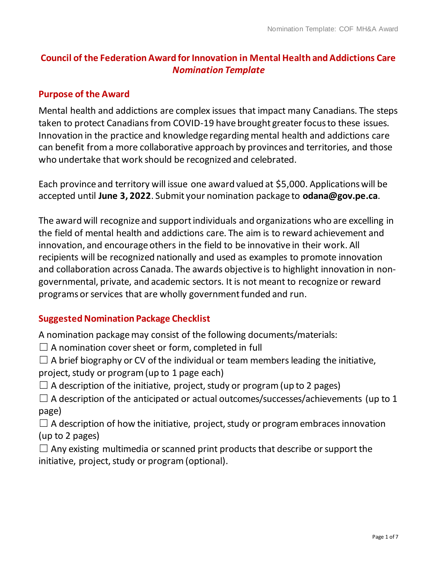# **Council of the Federation Award forInnovation in Mental Health andAddictions Care** *Nomination Template*

#### **Purpose of the Award**

Mental health and addictions are complex issues that impact many Canadians. The steps taken to protect Canadians from COVID-19 have brought greater focus to these issues. Innovation in the practice and knowledge regarding mental health and addictions care can benefit froma more collaborative approach by provinces and territories, and those who undertake that work should be recognized and celebrated.

Each province and territory will issue one award valued at \$5,000. Applicationswill be accepted until **June 3, 2022**. Submit your nomination package to **odana@gov.pe.ca**.

The award will recognize and supportindividuals and organizations who are excelling in the field of mental health and addictions care. The aim is to reward achievement and innovation, and encourage others in the field to be innovative in their work. All recipients will be recognized nationally and used as examples to promote innovation and collaboration across Canada. The awards objective is to highlight innovation in nongovernmental, private, and academic sectors. It is not meant to recognize or reward programs or services that are wholly government funded and run.

#### **Suggested Nomination Package Checklist**

A nomination packagemay consist of the following documents/materials:

 $\Box$  A nomination cover sheet or form, completed in full

 $\Box$  A brief biography or CV of the individual or team members leading the initiative, project, study or program (up to 1 page each)

 $\Box$  A description of the initiative, project, study or program (up to 2 pages)

 $\Box$  A description of the anticipated or actual outcomes/successes/achievements (up to 1 page)

 $\Box$  A description of how the initiative, project, study or program embraces innovation (up to 2 pages)

 $\Box$  Any existing multimedia or scanned print products that describe or support the initiative, project, study or program (optional).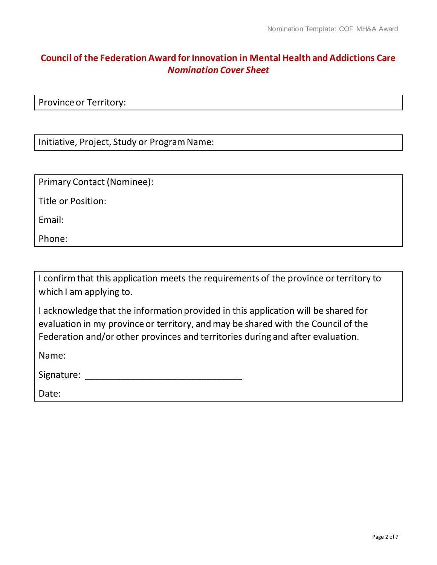### **Council of the Federation Award forInnovation in Mental Health andAddictions Care** *Nomination Cover Sheet*

Province or Territory:

Initiative, Project, Study or Program Name:

Primary Contact (Nominee):

Title or Position:

Email:

Phone:

I confirm that this application meets the requirements of the province or territory to which I am applying to.

I acknowledge that the information provided in this application will be shared for evaluation in my province or territory, and may be shared with the Council of the Federation and/or other provinces and territories during and after evaluation.

Name:

Signature: \_\_\_\_\_\_\_\_\_\_\_\_\_\_\_\_\_\_\_\_\_\_\_\_\_\_\_\_\_\_\_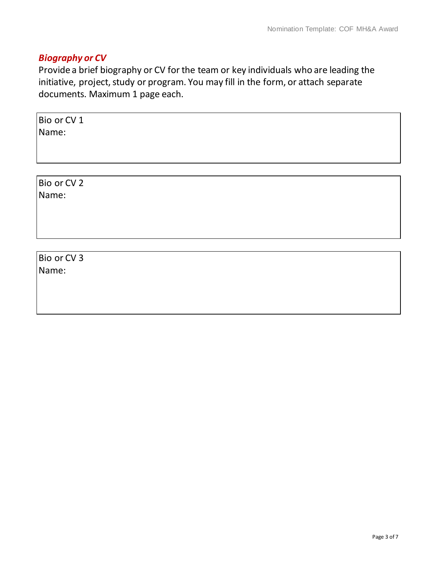## *Biography or CV*

Provide a brief biography or CV for the team or key individuals who are leading the initiative, project, study or program. You may fill in the form, or attach separate documents. Maximum 1 page each.

Bio or CV 1 Name:

Bio or CV 2 Name:

Bio or CV 3 Name: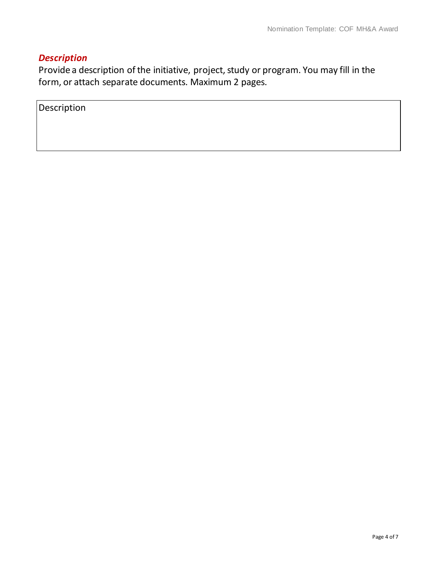## *Description*

Provide a description of the initiative, project, study or program. You may fill in the form, or attach separate documents. Maximum 2 pages.

Description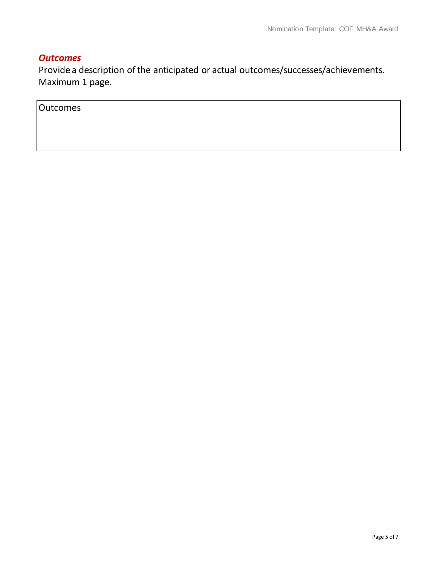#### *Outcomes*

Provide a description of the anticipated or actual outcomes/successes/achievements. Maximum 1 page.

**Outcomes**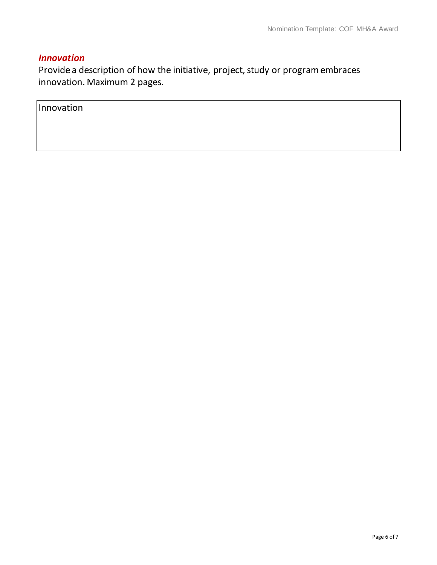### *Innovation*

Provide a description of how the initiative, project, study or program embraces innovation. Maximum 2 pages.

Innovation